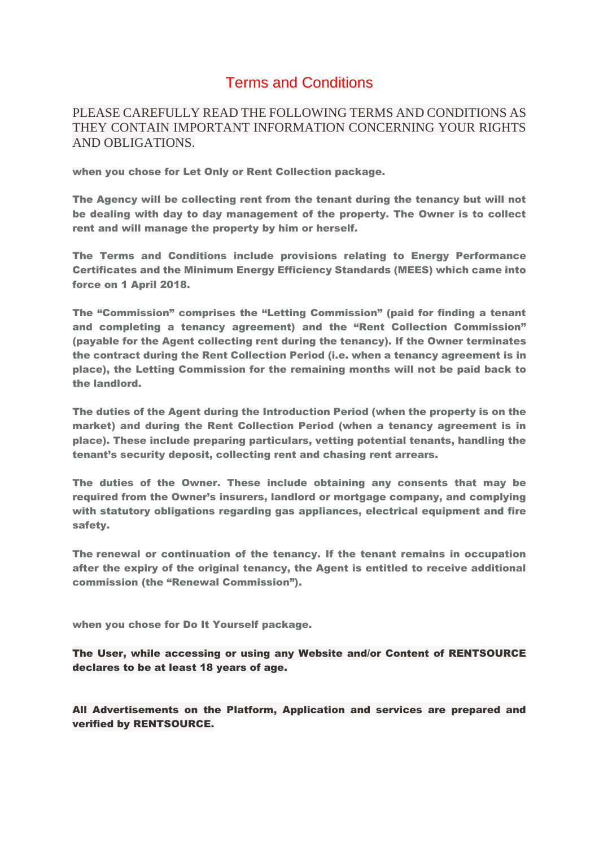## Terms and Conditions

PLEASE CAREFULLY READ THE FOLLOWING TERMS AND CONDITIONS AS THEY CONTAIN IMPORTANT INFORMATION CONCERNING YOUR RIGHTS AND OBLIGATIONS.

when you chose for Let Only or Rent Collection package.

The Agency will be collecting rent from the tenant during the tenancy but will not be dealing with day to day management of the property. The Owner is to collect rent and will manage the property by him or herself.

The Terms and Conditions include provisions relating to Energy Performance Certificates and the Minimum Energy Efficiency Standards (MEES) which came into force on 1 April 2018.

The "Commission" comprises the "Letting Commission" (paid for finding a tenant and completing a tenancy agreement) and the "Rent Collection Commission" (payable for the Agent collecting rent during the tenancy). If the Owner terminates the contract during the Rent Collection Period (i.e. when a tenancy agreement is in place), the Letting Commission for the remaining months will not be paid back to the landlord.

The duties of the Agent during the Introduction Period (when the property is on the market) and during the Rent Collection Period (when a tenancy agreement is in place). These include preparing particulars, vetting potential tenants, handling the tenant's security deposit, collecting rent and chasing rent arrears.

The duties of the Owner. These include obtaining any consents that may be required from the Owner's insurers, landlord or mortgage company, and complying with statutory obligations regarding gas appliances, electrical equipment and fire safety.

The renewal or continuation of the tenancy. If the tenant remains in occupation after the expiry of the original tenancy, the Agent is entitled to receive additional commission (the "Renewal Commission").

when you chose for Do It Yourself package.

The User, while accessing or using any Website and/or Content of RENTSOURCE declares to be at least 18 years of age.

All Advertisements on the Platform, Application and services are prepared and verified by RENTSOURCE.